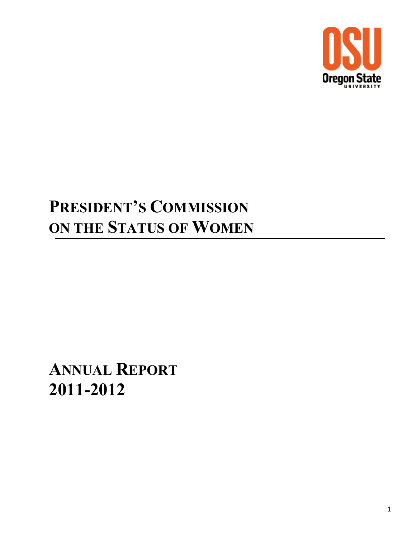

# **PRESIDENT'S COMMISSION ON THE STATUS OF WOMEN**

# **ANNUAL REPORT 2011-2012**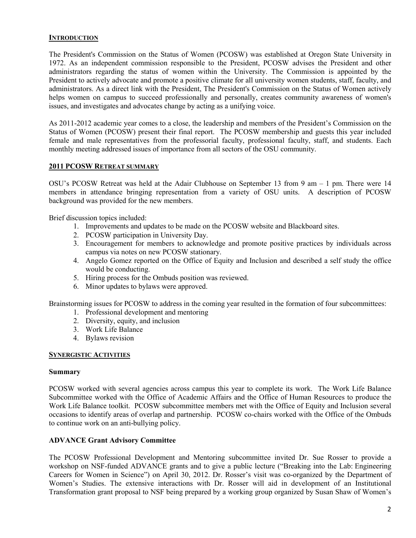## **INTRODUCTION**

The President's Commission on the Status of Women (PCOSW) was established at Oregon State University in 1972. As an independent commission responsible to the President, PCOSW advises the President and other administrators regarding the status of women within the University. The Commission is appointed by the President to actively advocate and promote a positive climate for all university women students, staff, faculty, and administrators. As a direct link with the President, The President's Commission on the Status of Women actively helps women on campus to succeed professionally and personally, creates community awareness of women's issues, and investigates and advocates change by acting as a unifying voice.

As 2011-2012 academic year comes to a close, the leadership and members of the President's Commission on the Status of Women (PCOSW) present their final report. The PCOSW membership and guests this year included female and male representatives from the professorial faculty, professional faculty, staff, and students. Each monthly meeting addressed issues of importance from all sectors of the OSU community.

#### **2011 PCOSW RETREAT SUMMARY**

OSU's PCOSW Retreat was held at the Adair Clubhouse on September 13 from 9 am – 1 pm. There were 14 members in attendance bringing representation from a variety of OSU units. A description of PCOSW background was provided for the new members.

Brief discussion topics included:

- 1. Improvements and updates to be made on the PCOSW website and Blackboard sites.
- 2. PCOSW participation in University Day.
- 3. Encouragement for members to acknowledge and promote positive practices by individuals across campus via notes on new PCOSW stationary.
- 4. Angelo Gomez reported on the Office of Equity and Inclusion and described a self study the office would be conducting.
- 5. Hiring process for the Ombuds position was reviewed.
- 6. Minor updates to bylaws were approved.

Brainstorming issues for PCOSW to address in the coming year resulted in the formation of four subcommittees:

- 1. Professional development and mentoring
- 2. Diversity, equity, and inclusion
- 3. Work Life Balance
- 4. Bylaws revision

## **SYNERGISTIC ACTIVITIES**

#### **Summary**

PCOSW worked with several agencies across campus this year to complete its work. The Work Life Balance Subcommittee worked with the Office of Academic Affairs and the Office of Human Resources to produce the Work Life Balance toolkit. PCOSW subcommittee members met with the Office of Equity and Inclusion several occasions to identify areas of overlap and partnership. PCOSW co-chairs worked with the Office of the Ombuds to continue work on an anti-bullying policy.

### **ADVANCE Grant Advisory Committee**

The PCOSW Professional Development and Mentoring subcommittee invited Dr. Sue Rosser to provide a workshop on NSF-funded ADVANCE grants and to give a public lecture ("Breaking into the Lab: Engineering Careers for Women in Science") on April 30, 2012. Dr. Rosser's visit was co-organized by the Department of Women's Studies. The extensive interactions with Dr. Rosser will aid in development of an Institutional Transformation grant proposal to NSF being prepared by a working group organized by Susan Shaw of Women's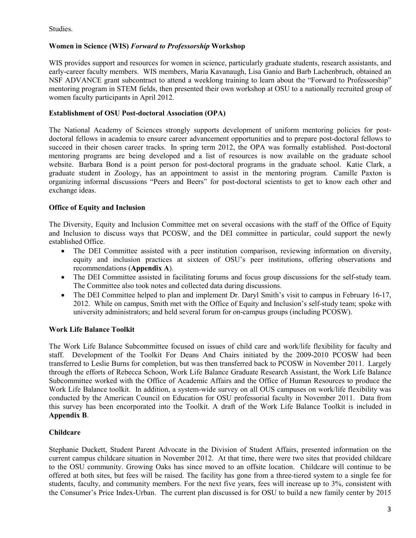Studies.

# **Women in Science (WIS)** *Forward to Professorship* **Workshop**

WIS provides support and resources for women in science, particularly graduate students, research assistants, and early-career faculty members. WIS members, Maria Kavanaugh, Lisa Ganio and Barb Lachenbruch, obtained an NSF ADVANCE grant subcontract to attend a weeklong training to learn about the "Forward to Professorship" mentoring program in STEM fields, then presented their own workshop at OSU to a nationally recruited group of women faculty participants in April 2012.

## **Establishment of OSU Post-doctoral Association (OPA)**

The National Academy of Sciences strongly supports development of uniform mentoring policies for postdoctoral fellows in academia to ensure career advancement opportunities and to prepare post-doctoral fellows to succeed in their chosen career tracks. In spring term 2012, the OPA was formally established. Post-doctoral mentoring programs are being developed and a list of resources is now available on the graduate school website. Barbara Bond is a point person for post-doctoral programs in the graduate school. Katie Clark, a graduate student in Zoology, has an appointment to assist in the mentoring program. Camille Paxton is organizing informal discussions "Peers and Beers" for post-doctoral scientists to get to know each other and exchange ideas.

# **Office of Equity and Inclusion**

The Diversity, Equity and Inclusion Committee met on several occasions with the staff of the Office of Equity and Inclusion to discuss ways that PCOSW, and the DEI committee in particular, could support the newly established Office.

- The DEI Committee assisted with a peer institution comparison, reviewing information on diversity, equity and inclusion practices at sixteen of OSU's peer institutions, offering observations and recommendations (**Appendix A**).
- The DEI Committee assisted in facilitating forums and focus group discussions for the self-study team. The Committee also took notes and collected data during discussions.
- The DEI Committee helped to plan and implement Dr. Daryl Smith's visit to campus in February 16-17, 2012. While on campus, Smith met with the Office of Equity and Inclusion's self-study team; spoke with university administrators; and held several forum for on-campus groups (including PCOSW).

# **Work Life Balance Toolkit**

The Work Life Balance Subcommittee focused on issues of child care and work/life flexibility for faculty and staff. Development of the Toolkit For Deans And Chairs initiated by the 2009-2010 PCOSW had been transferred to Leslie Burns for completion, but was then transferred back to PCOSW in November 2011. Largely through the efforts of Rebecca Schoon, Work Life Balance Graduate Research Assistant, the Work Life Balance Subcommittee worked with the Office of Academic Affairs and the Office of Human Resources to produce the Work Life Balance toolkit. In addition, a system-wide survey on all OUS campuses on work/life flexibility was conducted by the American Council on Education for OSU professorial faculty in November 2011. Data from this survey has been encorporated into the Toolkit. A draft of the Work Life Balance Toolkit is included in **Appendix B**.

# **Childcare**

Stephanie Duckett, Student Parent Advocate in the Division of Student Affairs, presented information on the current campus childcare situation in November 2012. At that time, there were two sites that provided childcare to the OSU community. Growing Oaks has since moved to an offsite location. Childcare will continue to be offered at both sites, but fees will be raised. The facility has gone from a three-tiered system to a single fee for students, faculty, and community members. For the next five years, fees will increase up to 3%, consistent with the Consumer's Price Index-Urban. The current plan discussed is for OSU to build a new family center by 2015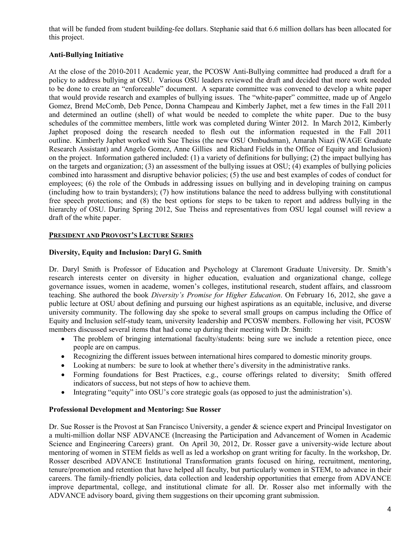that will be funded from student building-fee dollars. Stephanie said that 6.6 million dollars has been allocated for this project.

# **Anti-Bullying Initiative**

At the close of the 2010-2011 Academic year, the PCOSW Anti-Bullying committee had produced a draft for a policy to address bullying at OSU. Various OSU leaders reviewed the draft and decided that more work needed to be done to create an "enforceable" document. A separate committee was convened to develop a white paper that would provide research and examples of bullying issues. The "white-paper" committee, made up of Angelo Gomez, Brend McComb, Deb Pence, Donna Champeau and Kimberly Japhet, met a few times in the Fall 2011 and determined an outline (shell) of what would be needed to complete the white paper. Due to the busy schedules of the committee members, little work was completed during Winter 2012. In March 2012, Kimberly Japhet proposed doing the research needed to flesh out the information requested in the Fall 2011 outline. Kimberly Japhet worked with Sue Theiss (the new OSU Ombudsman), Amarah Niazi (WAGE Graduate Research Assistant) and Angelo Gomez, Anne Gillies and Richard Fields in the Office of Equity and Inclusion) on the project. Information gathered included: (1) a variety of definitions for bullying; (2) the impact bullying has on the targets and organization; (3) an assessment of the bullying issues at OSU; (4) examples of bullying policies combined into harassment and disruptive behavior policies; (5) the use and best examples of codes of conduct for employees; (6) the role of the Ombuds in addressing issues on bullying and in developing training on campus (including how to train bystanders); (7) how institutions balance the need to address bullying with constitutional free speech protections; and (8) the best options for steps to be taken to report and address bullying in the hierarchy of OSU. During Spring 2012, Sue Theiss and representatives from OSU legal counsel will review a draft of the white paper.

# **PRESIDENT AND PROVOST'S LECTURE SERIES**

# **Diversity, Equity and Inclusion: Daryl G. Smith**

Dr. Daryl Smith is Professor of Education and Psychology at Claremont Graduate University. Dr. Smith's research interests center on diversity in higher education, evaluation and organizational change, college governance issues, women in academe, women's colleges, institutional research, student affairs, and classroom teaching. She authored the book *Diversity's Promise for Higher Education*. On February 16, 2012, she gave a public lecture at OSU about defining and pursuing our highest aspirations as an equitable, inclusive, and diverse university community. The following day she spoke to several small groups on campus including the Office of Equity and Inclusion self-study team, university leadership and PCOSW members. Following her visit, PCOSW members discussed several items that had come up during their meeting with Dr. Smith:

- The problem of bringing international faculty/students: being sure we include a retention piece, once people are on campus.
- Recognizing the different issues between international hires compared to domestic minority groups.
- Looking at numbers: be sure to look at whether there's diversity in the administrative ranks.
- Forming foundations for Best Practices, e.g., course offerings related to diversity; Smith offered indicators of success, but not steps of how to achieve them.
- Integrating "equity" into OSU's core strategic goals (as opposed to just the administration's).

# **Professional Development and Mentoring: Sue Rosser**

Dr. Sue Rosser is the Provost at San Francisco University, a gender & science expert and Principal Investigator on a multi-million dollar NSF ADVANCE (Increasing the Participation and Advancement of Women in Academic Science and Engineering Careers) grant. On April 30, 2012, Dr. Rosser gave a university-wide lecture about mentoring of women in STEM fields as well as led a workshop on grant writing for faculty. In the workshop, Dr. Rosser described ADVANCE Institutional Transformation grants focused on hiring, recruitment, mentoring, tenure/promotion and retention that have helped all faculty, but particularly women in STEM, to advance in their careers. The family-friendly policies, data collection and leadership opportunities that emerge from ADVANCE improve departmental, college, and institutional climate for all. Dr. Rosser also met informally with the ADVANCE advisory board, giving them suggestions on their upcoming grant submission.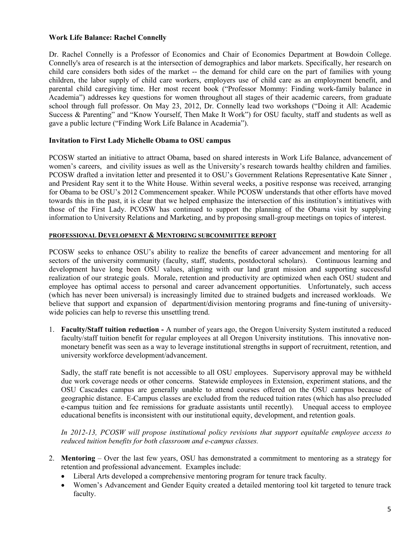## **Work Life Balance: Rachel Connelly**

Dr. Rachel Connelly is a Professor of Economics and Chair of Economics Department at Bowdoin College. Connelly's area of research is at the intersection of demographics and labor markets. Specifically, her research on child care considers both sides of the market -- the demand for child care on the part of families with young children, the labor supply of child care workers, employers use of child care as an employment benefit, and parental child caregiving time. Her most recent book ("Professor Mommy: Finding work-family balance in Academia") addresses key questions for women throughout all stages of their academic careers, from graduate school through full professor. On May 23, 2012, Dr. Connelly lead two workshops ("Doing it All: Academic Success & Parenting" and "Know Yourself, Then Make It Work") for OSU faculty, staff and students as well as gave a public lecture ("Finding Work Life Balance in Academia").

### **Invitation to First Lady Michelle Obama to OSU campus**

PCOSW started an initiative to attract Obama, based on shared interests in Work Life Balance, advancement of women's careers, and civility issues as well as the University's research towards healthy children and families. PCOSW drafted a invitation letter and presented it to OSU's Government Relations Representative Kate Sinner , and President Ray sent it to the White House. Within several weeks, a positive response was received, arranging for Obama to be OSU's 2012 Commencement speaker. While PCOSW understands that other efforts have moved towards this in the past, it is clear that we helped emphasize the intersection of this institution's intitiatives with those of the First Lady. PCOSW has continued to support the planning of the Obama visit by supplying information to University Relations and Marketing, and by proposing small-group meetings on topics of interest.

## **PROFESSIONAL DEVELOPMENT & MENTORING SUBCOMMITTEE REPORT**

PCOSW seeks to enhance OSU's ability to realize the benefits of career advancement and mentoring for all sectors of the university community (faculty, staff, students, postdoctoral scholars). Continuous learning and development have long been OSU values, aligning with our land grant mission and supporting successful realization of our strategic goals. Morale, retention and productivity are optimized when each OSU student and employee has optimal access to personal and career advancement opportunities. Unfortunately, such access (which has never been universal) is increasingly limited due to strained budgets and increased workloads. We believe that support and expansion of department/division mentoring programs and fine-tuning of universitywide policies can help to reverse this unsettling trend.

1. **Faculty/Staff tuition reduction -** A number of years ago, the Oregon University System instituted a reduced faculty/staff tuition benefit for regular employees at all Oregon University institutions. This innovative nonmonetary benefit was seen as a way to leverage institutional strengths in support of recruitment, retention, and university workforce development/advancement.

Sadly, the staff rate benefit is not accessible to all OSU employees. Supervisory approval may be withheld due work coverage needs or other concerns. Statewide employees in Extension, experiment stations, and the OSU Cascades campus are generally unable to attend courses offered on the OSU campus because of geographic distance. E-Campus classes are excluded from the reduced tuition rates (which has also precluded e-campus tuition and fee remissions for graduate assistants until recently). Unequal access to employee educational benefits is inconsistent with our institutional equity, development, and retention goals.

*In 2012-13, PCOSW will propose institutional policy revisions that support equitable employee access to reduced tuition benefits for both classroom and e-campus classes.* 

- 2. **Mentoring** Over the last few years, OSU has demonstrated a commitment to mentoring as a strategy for retention and professional advancement. Examples include:
	- Liberal Arts developed a comprehensive mentoring program for tenure track faculty.
	- Women's Advancement and Gender Equity created a detailed mentoring tool kit targeted to tenure track faculty.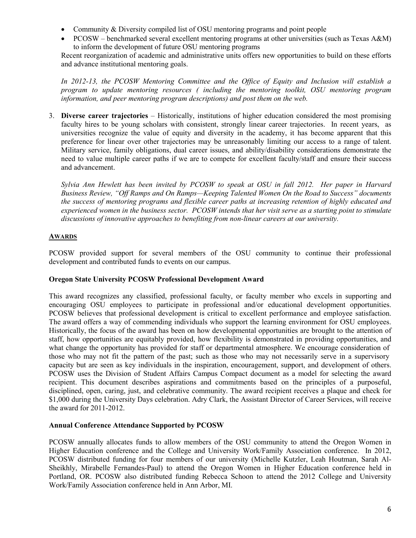- Community & Diversity compiled list of OSU mentoring programs and point people
- PCOSW benchmarked several excellent mentoring programs at other universities (such as Texas A&M) to inform the development of future OSU mentoring programs

Recent reorganization of academic and administrative units offers new opportunities to build on these efforts and advance institutional mentoring goals.

*In 2012-13, the PCOSW Mentoring Committee and the Office of Equity and Inclusion will establish a program to update mentoring resources ( including the mentoring toolkit, OSU mentoring program information, and peer mentoring program descriptions) and post them on the web.*

3. **Diverse career trajectories** – Historically, institutions of higher education considered the most promising faculty hires to be young scholars with consistent, strongly linear career trajectories. In recent years, as universities recognize the value of equity and diversity in the academy, it has become apparent that this preference for linear over other trajectories may be unreasonably limiting our access to a range of talent. Military service, family obligations, dual career issues, and ability/disability considerations demonstrate the need to value multiple career paths if we are to compete for excellent faculty/staff and ensure their success and advancement.

*Sylvia Ann Hewlett has been invited by PCOSW to speak at OSU in fall 2012. Her paper in Harvard Business Review, "Off Ramps and On Ramps—Keeping Talented Women On the Road to Success" documents the success of mentoring programs and flexible career paths at increasing retention of highly educated and experienced women in the business sector. PCOSW intends that her visit serve as a starting point to stimulate discussions of innovative approaches to benefiting from non-linear careers at our university.* 

## **AWARDS**

PCOSW provided support for several members of the OSU community to continue their professional development and contributed funds to events on our campus.

### **Oregon State University PCOSW Professional Development Award**

This award recognizes any classified, professional faculty, or faculty member who excels in supporting and encouraging OSU employees to participate in professional and/or educational development opportunities. PCOSW believes that professional development is critical to excellent performance and employee satisfaction. The award offers a way of commending individuals who support the learning environment for OSU employees. Historically, the focus of the award has been on how developmental opportunities are brought to the attention of staff, how opportunities are equitably provided, how flexibility is demonstrated in providing opportunities, and what change the opportunity has provided for staff or departmental atmosphere. We encourage consideration of those who may not fit the pattern of the past; such as those who may not necessarily serve in a supervisory capacity but are seen as key individuals in the inspiration, encouragement, support, and development of others. PCOSW uses the Division of Student Affairs Campus Compact document as a model for selecting the award recipient. This document describes aspirations and commitments based on the principles of a purposeful, disciplined, open, caring, just, and celebrative community. The award recipient receives a plaque and check for \$1,000 during the University Days celebration. Adry Clark, the Assistant Director of Career Services, will receive the award for 2011-2012.

### **Annual Conference Attendance Supported by PCOSW**

PCOSW annually allocates funds to allow members of the OSU community to attend the Oregon Women in Higher Education conference and the College and University Work/Family Association conference. In 2012, PCOSW distributed funding for four members of our university (Michelle Kutzler, Leah Houtman, Sarah Al-Sheikhly, Mirabelle Fernandes-Paul) to attend the Oregon Women in Higher Education conference held in Portland, OR. PCOSW also distributed funding Rebecca Schoon to attend the 2012 College and University Work/Family Association conference held in Ann Arbor, MI.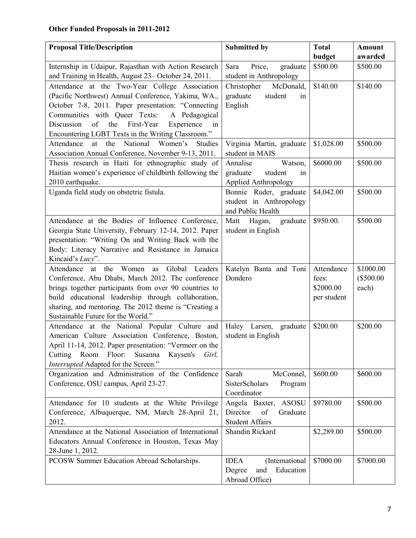| <b>Proposal Title/Description</b>                                                              | <b>Submitted by</b>               | <b>Total</b>        | <b>Amount</b> |
|------------------------------------------------------------------------------------------------|-----------------------------------|---------------------|---------------|
|                                                                                                |                                   | budget              | awarded       |
| Internship in Udaipur, Rajasthan with Action Research                                          | Price,<br>graduate<br>Sara        | \$500.00            | \$500.00      |
| and Training in Health, August 23-October 24, 2011.                                            | student in Anthropology           |                     |               |
| Attendance at the Two-Year College Association                                                 | Christopher<br>McDonald,          | \$140.00            | \$140.00      |
| (Pacific Northwest) Annual Conference, Yakima, WA.,                                            | graduate<br>student<br>1n         |                     |               |
| October 7-8, 2011. Paper presentation: "Connecting                                             | English                           |                     |               |
| Communities with Queer Texts:<br>A Pedagogical                                                 |                                   |                     |               |
| Discussion<br>of<br>the<br>First-Year<br>Experience<br>1n                                      |                                   |                     |               |
| Encountering LGBT Texts in the Writing Classroom."                                             |                                   |                     |               |
| Attendance<br>the<br>National Women's<br>at<br>Studies                                         | Virginia Martin, graduate         | \$1,028.00          | \$500.00      |
| Association Annual Conference, November 9-13, 2011.                                            | student in MAIS                   |                     |               |
| Thesis research in Haiti for ethnographic study of                                             | Annalise<br>Watson,               | \$6000.00           | \$500.00      |
| Haitian women's experience of childbirth following the                                         | graduate<br>student<br>in         |                     |               |
| 2010 earthquake.                                                                               | <b>Applied Anthropology</b>       |                     |               |
| Uganda field study on obstetric fistula.                                                       | Bonnie Ruder, graduate            | \$4,042.00          | \$500.00      |
|                                                                                                | student in Anthropology           |                     |               |
|                                                                                                | and Public Health                 |                     |               |
| Attendance at the Bodies of Influence Conference,                                              | Matt<br>Hagan,<br>graduate        | \$950.00.           | \$500.00      |
| Georgia State University, February 12-14, 2012. Paper                                          | student in English                |                     |               |
| presentation: "Writing On and Writing Back with the                                            |                                   |                     |               |
| Body: Literacy Narrative and Resistance in Jamaica                                             |                                   |                     |               |
| Kincaid's Lucy".                                                                               |                                   |                     | \$1000.00     |
| Attendance at the Women as Global Leaders<br>Conference, Abu Dhabi, March 2012. The conference | Katelyn Banta and Toni<br>Dondero | Attendance<br>fees: | $(\$500.00$   |
| brings together participants from over 90 countries to                                         |                                   | \$2000.00           | each)         |
| build educational leadership through collaboration,                                            |                                   | per student         |               |
| sharing, and mentoring. The 2012 theme is "Creating a                                          |                                   |                     |               |
| Sustainable Future for the World."                                                             |                                   |                     |               |
| Attendance at the National Popular Culture and                                                 | Haley Larsen, graduate            | \$200.00            | \$200.00      |
| American Culture Association Conference, Boston,                                               | student in English                |                     |               |
| April 11-14, 2012. Paper presentation: "Vermeer on the                                         |                                   |                     |               |
| Cutting Room Floor:<br>Susanna<br>Kaysen's<br>Girl,                                            |                                   |                     |               |
| Interrupted Adapted for the Screen."                                                           |                                   |                     |               |
| Organization and Administration of the Confidence                                              | McConnel,<br>Sarah                | \$600.00            | \$600.00      |
| Conference, OSU campus, April 23-27.                                                           | SisterScholars<br>Program         |                     |               |
|                                                                                                | Coordinator                       |                     |               |
| Attendance for 10 students at the White Privilege                                              | Angela Baxter, ASOSU              | \$9780.00           | \$500.00      |
| Conference, Albuquerque, NM, March 28-April 21,                                                | Director<br>of<br>Graduate        |                     |               |
| 2012.                                                                                          | <b>Student Affairs</b>            |                     |               |
| Attendance at the National Association of International                                        | Shandin Rickard                   | \$2,289.00          | \$500.00      |
| Educators Annual Conference in Houston, Texas May                                              |                                   |                     |               |
| 28-June 1, 2012.                                                                               |                                   |                     |               |
| PCOSW Summer Education Abroad Scholarships.                                                    | (International<br><b>IDEA</b>     | \$7000.00           | \$7000.00     |
|                                                                                                | Education<br>Degree<br>and        |                     |               |
|                                                                                                | Abroad Office)                    |                     |               |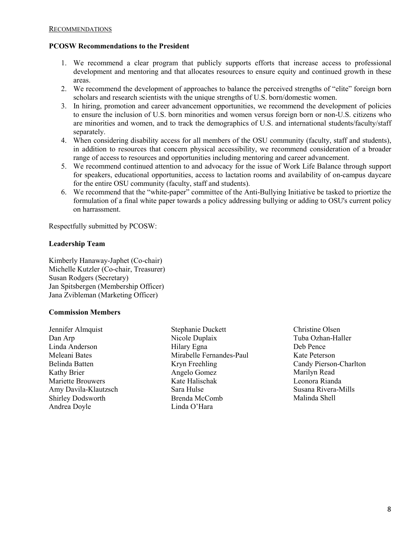## **PCOSW Recommendations to the President**

- 1. We recommend a clear program that publicly supports efforts that increase access to professional development and mentoring and that allocates resources to ensure equity and continued growth in these areas.
- 2. We recommend the development of approaches to balance the perceived strengths of "elite" foreign born scholars and research scientists with the unique strengths of U.S. born/domestic women.
- 3. In hiring, promotion and career advancement opportunities, we recommend the development of policies to ensure the inclusion of U.S. born minorities and women versus foreign born or non-U.S. citizens who are minorities and women, and to track the demographics of U.S. and international students/faculty/staff separately.
- 4. When considering disability access for all members of the OSU community (faculty, staff and students), in addition to resources that concern physical accessibility, we recommend consideration of a broader range of access to resources and opportunities including mentoring and career advancement.
- 5. We recommend continued attention to and advocacy for the issue of Work Life Balance through support for speakers, educational opportunities, access to lactation rooms and availability of on-campus daycare for the entire OSU community (faculty, staff and students).
- 6. We recommend that the "white-paper" committee of the Anti-Bullying Initiative be tasked to priortize the formulation of a final white paper towards a policy addressing bullying or adding to OSU's current policy on harrassment.

Respectfully submitted by PCOSW:

# **Leadership Team**

Kimberly Hanaway-Japhet (Co-chair) Michelle Kutzler (Co-chair, Treasurer) Susan Rodgers (Secretary) Jan Spitsbergen (Membership Officer) Jana Zvibleman (Marketing Officer)

# **Commission Members**

Jennifer Almquist Dan Arp Linda Anderson Meleani Bates Belinda Batten Kathy Brier Mariette Brouwers Amy Davila-Klautzsch Shirley Dodsworth Andrea Doyle

Stephanie Duckett Nicole Duplaix Hilary Egna Mirabelle Fernandes-Paul Kryn Freehling Angelo Gomez Kate Halischak Sara Hulse Brenda McComb Linda O'Hara

Christine Olsen Tuba Ozhan-Haller Deb Pence Kate Peterson Candy Pierson-Charlton Marilyn Read Leonora Rianda Susana Rivera-Mills Malinda Shell